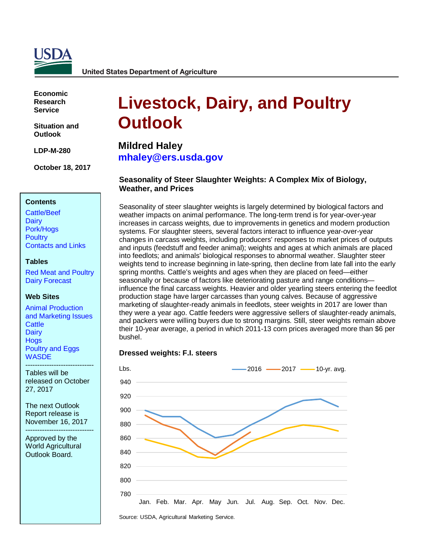

**United States Department of Agriculture** 

**Economic Research Service**

**Situation and Outlook**

**LDP-M-280**

**October 18, 2017**

#### **Contents**

[Cattle/Beef](#page-2-0) **[Dairy](#page-6-0)** [Pork/Hogs](#page-11-0) **[Poultry](#page-15-0)** [Contacts and Links](#page-19-0) 

#### **Tables**

[Red Meat and Poultry](#page-20-0) [Dairy Forecast](#page-21-0)

#### **Web Sites**

[Animal Production](https://www.ers.usda.gov/topics/animal-products/animal-production-marketing-issues/)  and [Marketing Issues](https://www.ers.usda.gov/topics/animal-products/animal-production-marketing-issues/) **[Cattle](https://www.ers.usda.gov/topics/animal-products/cattle-beef/) [Dairy](https://www.ers.usda.gov/topics/animal-products/dairy/) [Hogs](https://www.ers.usda.gov/topics/animal-products/hogs-pork/)** [Poultry and Eggs](https://www.ers.usda.gov/topics/animal-products/poultry-eggs/) **[WASDE](http://usda.mannlib.cornell.edu/MannUsda/viewDocumentInfo.do?documentID=1194)** 

----------------------------- Tables will be released on October 27, 2017

The next Outlook Report release is November 16, 2017

----------------------------- Approved by the World Agricultural Outlook Board.

# **Livestock, Dairy, and Poultry Outlook**

**Mildred Haley [mhaley@ers.usda.gov](mailto:mhaley@ers.usda.gov)**

# **Seasonality of Steer Slaughter Weights: A Complex Mix of Biology, Weather, and Prices**

Seasonality of steer slaughter weights is largely determined by biological factors and weather impacts on animal performance. The long-term trend is for year-over-year increases in carcass weights, due to improvements in genetics and modern production systems. For slaughter steers, several factors interact to influence year-over-year changes in carcass weights, including producers' responses to market prices of outputs and inputs (feedstuff and feeder animal); weights and ages at which animals are placed into feedlots; and animals' biological responses to abnormal weather. Slaughter steer weights tend to increase beginning in late-spring, then decline from late fall into the early spring months. Cattle's weights and ages when they are placed on feed—either seasonally or because of factors like deteriorating pasture and range conditions influence the final carcass weights. Heavier and older yearling steers entering the feedlot production stage have larger carcasses than young calves. Because of aggressive marketing of slaughter-ready animals in feedlots, steer weights in 2017 are lower than they were a year ago. Cattle feeders were aggressive sellers of slaughter-ready animals, and packers were willing buyers due to strong margins. Still, steer weights remain above their 10-year average, a period in which 2011-13 corn prices averaged more than \$6 per bushel.

#### **Dressed weights: F.I. steers**



Source: USDA, Agricultural Marketing Service.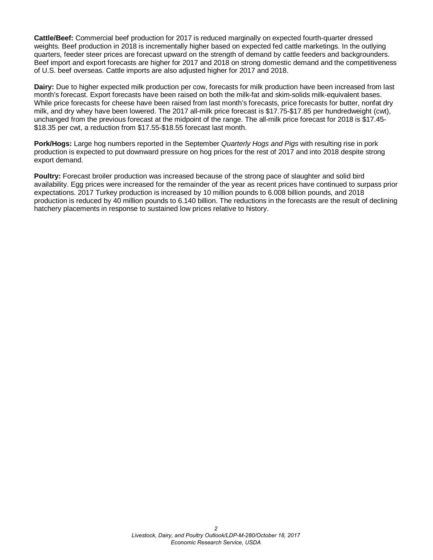**Cattle/Beef:** Commercial beef production for 2017 is reduced marginally on expected fourth-quarter dressed weights. Beef production in 2018 is incrementally higher based on expected fed cattle marketings. In the outlying quarters, feeder steer prices are forecast upward on the strength of demand by cattle feeders and backgrounders. Beef import and export forecasts are higher for 2017 and 2018 on strong domestic demand and the competitiveness of U.S. beef overseas. Cattle imports are also adjusted higher for 2017 and 2018.

**Dairy:** Due to higher expected milk production per cow, forecasts for milk production have been increased from last month's forecast. Export forecasts have been raised on both the milk-fat and skim-solids milk-equivalent bases. While price forecasts for cheese have been raised from last month's forecasts, price forecasts for butter, nonfat dry milk, and dry whey have been lowered. The 2017 all-milk price forecast is \$17.75-\$17.85 per hundredweight (cwt), unchanged from the previous forecast at the midpoint of the range. The all-milk price forecast for 2018 is \$17.45- \$18.35 per cwt, a reduction from \$17.55-\$18.55 forecast last month.

**Pork/Hogs:** Large hog numbers reported in the September *Quarterly Hogs and Pigs* with resulting rise in pork production is expected to put downward pressure on hog prices for the rest of 2017 and into 2018 despite strong export demand.

**Poultry:** Forecast broiler production was increased because of the strong pace of slaughter and solid bird availability. Egg prices were increased for the remainder of the year as recent prices have continued to surpass prior expectations. 2017 Turkey production is increased by 10 million pounds to 6.008 billion pounds, and 2018 production is reduced by 40 million pounds to 6.140 billion. The reductions in the forecasts are the result of declining hatchery placements in response to sustained low prices relative to history.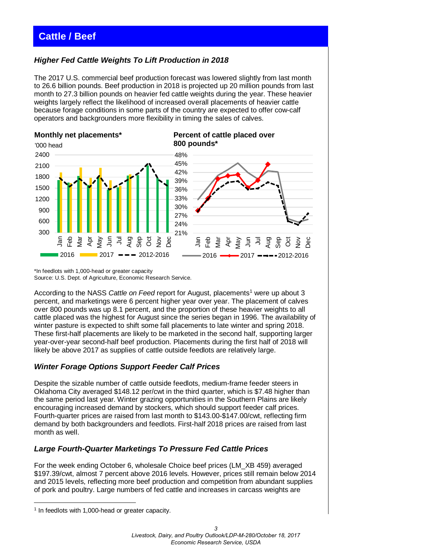# <span id="page-2-0"></span>**Cattle / Beef**

# *Higher Fed Cattle Weights To Lift Production in 2018*

The 2017 U.S. commercial beef production forecast was lowered slightly from last month to 26.6 billion pounds. Beef production in 2018 is projected up 20 million pounds from last month to 27.3 billion pounds on heavier fed cattle weights during the year. These heavier weights largely reflect the likelihood of increased overall placements of heavier cattle because forage conditions in some parts of the country are expected to offer cow-calf operators and backgrounders more flexibility in timing the sales of calves.



\*In feedlots with 1,000-head or greater capacity Source: U.S. Dept. of Agriculture, Economic Research Service.

According to the NASS *Cattle on Feed* report for August, placements<sup>1</sup> were up about 3 percent, and marketings were 6 percent higher year over year. The placement of calves over 800 pounds was up 8.1 percent, and the proportion of these heavier weights to all cattle placed was the highest for August since the series began in 1996. The availability of winter pasture is expected to shift some fall placements to late winter and spring 2018. These first-half placements are likely to be marketed in the second half, supporting larger year-over-year second-half beef production. Placements during the first half of 2018 will likely be above 2017 as supplies of cattle outside feedlots are relatively large.

# *Winter Forage Options Support Feeder Calf Prices*

Despite the sizable number of cattle outside feedlots, medium-frame feeder steers in Oklahoma City averaged \$148.12 per/cwt in the third quarter, which is \$7.48 higher than the same period last year. Winter grazing opportunities in the Southern Plains are likely encouraging increased demand by stockers, which should support feeder calf prices. Fourth-quarter prices are raised from last month to \$143.00-\$147.00/cwt, reflecting firm demand by both backgrounders and feedlots. First-half 2018 prices are raised from last month as well.

# *Large Fourth-Quarter Marketings To Pressure Fed Cattle Prices*

For the week ending October 6, wholesale Choice beef prices (LM\_XB 459) averaged \$197.39/cwt, almost 7 percent above 2016 levels. However, prices still remain below 2014 and 2015 levels, reflecting more beef production and competition from abundant supplies of pork and poultry. Large numbers of fed cattle and increases in carcass weights are

<span id="page-2-1"></span><sup>&</sup>lt;u>.</u> <sup>1</sup> In feedlots with 1,000-head or greater capacity.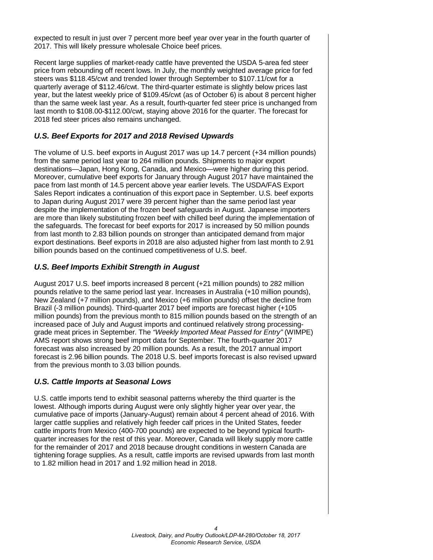expected to result in just over 7 percent more beef year over year in the fourth quarter of 2017. This will likely pressure wholesale Choice beef prices.

Recent large supplies of market-ready cattle have prevented the USDA 5-area fed steer price from rebounding off recent lows. In July, the monthly weighted average price for fed steers was \$118.45/cwt and trended lower through September to \$107.11/cwt for a quarterly average of \$112.46/cwt. The third-quarter estimate is slightly below prices last year, but the latest weekly price of \$109.45/cwt (as of October 6) is about 8 percent higher than the same week last year. As a result, fourth-quarter fed steer price is unchanged from last month to \$108.00-\$112.00/cwt, staying above 2016 for the quarter. The forecast for 2018 fed steer prices also remains unchanged.

# *U.S. Beef Exports for 2017 and 2018 Revised Upwards*

The volume of U.S. beef exports in August 2017 was up 14.7 percent (+34 million pounds) from the same period last year to 264 million pounds. Shipments to major export destinations—Japan, Hong Kong, Canada, and Mexico—were higher during this period. Moreover, cumulative beef exports for January through August 2017 have maintained the pace from last month of 14.5 percent above year earlier levels. The USDA/FAS Export Sales Report indicates a continuation of this export pace in September. U.S. beef exports to Japan during August 2017 were 39 percent higher than the same period last year despite the implementation of the frozen beef safeguards in August. Japanese importers are more than likely substituting frozen beef with chilled beef during the implementation of the safeguards. The forecast for beef exports for 2017 is increased by 50 million pounds from last month to 2.83 billion pounds on stronger than anticipated demand from major export destinations. Beef exports in 2018 are also adjusted higher from last month to 2.91 billion pounds based on the continued competitiveness of U.S. beef.

# *U.S. Beef Imports Exhibit Strength in August*

August 2017 U.S. beef imports increased 8 percent (+21 million pounds) to 282 million pounds relative to the same period last year. Increases in Australia (+10 million pounds), New Zealand (+7 million pounds), and Mexico (+6 million pounds) offset the decline from Brazil (-3 million pounds). Third-quarter 2017 beef imports are forecast higher (+105 million pounds) from the previous month to 815 million pounds based on the strength of an increased pace of July and August imports and continued relatively strong processinggrade meat prices in September. The *"Weekly Imported Meat Passed for Entry"* (WIMPE) AMS report shows strong beef import data for September. The fourth-quarter 2017 forecast was also increased by 20 million pounds. As a result, the 2017 annual import forecast is 2.96 billion pounds. The 2018 U.S. beef imports forecast is also revised upward from the previous month to 3.03 billion pounds.

# *U.S. Cattle Imports at Seasonal Lows*

U.S. cattle imports tend to exhibit seasonal patterns whereby the third quarter is the lowest. Although imports during August were only slightly higher year over year, the cumulative pace of imports (January-August) remain about 4 percent ahead of 2016. With larger cattle supplies and relatively high feeder calf prices in the United States, feeder cattle imports from Mexico (400-700 pounds) are expected to be beyond typical fourthquarter increases for the rest of this year. Moreover, Canada will likely supply more cattle for the remainder of 2017 and 2018 because drought conditions in western Canada are tightening forage supplies. As a result, cattle imports are revised upwards from last month to 1.82 million head in 2017 and 1.92 million head in 2018.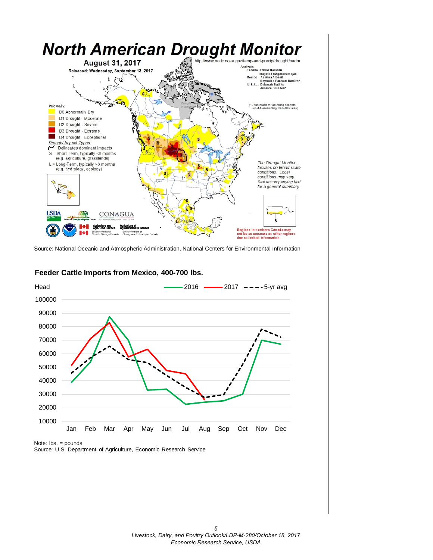

Source: National Oceanic and Atmospheric Administration, National Centers for Environmental Information



#### **Feeder Cattle Imports from Mexico, 400-700 lbs.**

Note: lbs. = pounds

Source: U.S. Department of Agriculture, Economic Research Service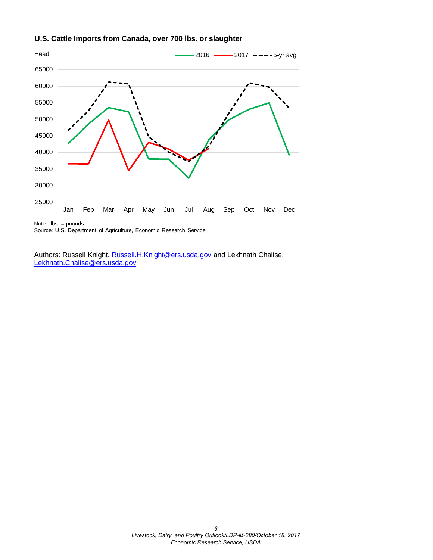

# **U.S. Cattle Imports from Canada, over 700 lbs. or slaughter**

Note: lbs. = pounds Source: U.S. Department of Agriculture, Economic Research Service

Authors: Russell Knight[, Russell.H.Knight@ers.usda.gov](mailto:russell.h.knight@ers.usda.gov) and Lekhnath Chalise, [Lekhnath.Chalise@ers.usda.gov](mailto:Lekhnath.Chalise@ers.usda.gov)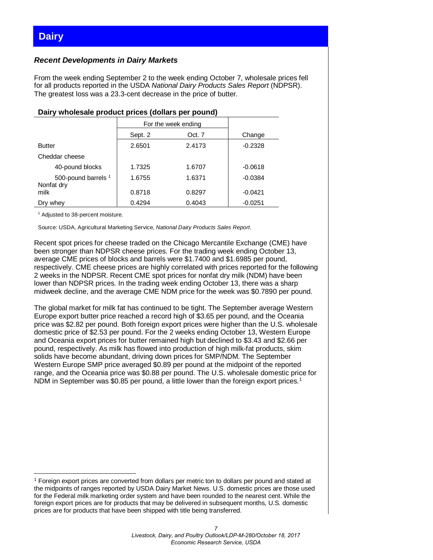# <span id="page-6-0"></span>**Dairy**

## *Recent Developments in Dairy Markets*

From the week ending September 2 to the week ending October 7, wholesale prices fell for all products reported in the USDA *National Dairy Products Sales Report* (NDPSR). The greatest loss was a 23.3-cent decrease in the price of butter.

| <b>Daily Milologue product prices (dollars per poultur</b> |                     |        |           |  |  |  |  |  |  |  |  |  |
|------------------------------------------------------------|---------------------|--------|-----------|--|--|--|--|--|--|--|--|--|
|                                                            | For the week ending |        |           |  |  |  |  |  |  |  |  |  |
|                                                            | Sept. 2             | Oct. 7 | Change    |  |  |  |  |  |  |  |  |  |
| <b>Butter</b>                                              | 2.6501              | 2.4173 | $-0.2328$ |  |  |  |  |  |  |  |  |  |
| Cheddar cheese                                             |                     |        |           |  |  |  |  |  |  |  |  |  |
| 40-pound blocks                                            | 1.7325              | 1.6707 | $-0.0618$ |  |  |  |  |  |  |  |  |  |
| 500-pound barrels 1<br>Nonfat dry                          | 1.6755              | 1.6371 | $-0.0384$ |  |  |  |  |  |  |  |  |  |
| milk                                                       | 0.8718              | 0.8297 | $-0.0421$ |  |  |  |  |  |  |  |  |  |
| Dry whey                                                   | 0.4294              | 0.4043 | $-0.0251$ |  |  |  |  |  |  |  |  |  |

#### **Dairy wholesale product prices (dollars per pound)**

<sup>1</sup> Adjusted to 38-percent moisture.

Source: USDA, Agricultural Marketing Service, *National Dairy Products Sales Report*.

Recent spot prices for cheese traded on the Chicago Mercantile Exchange (CME) have been stronger than NDPSR cheese prices. For the trading week ending October 13, average CME prices of blocks and barrels were \$1.7400 and \$1.6985 per pound, respectively. CME cheese prices are highly correlated with prices reported for the following 2 weeks in the NDPSR. Recent CME spot prices for nonfat dry milk (NDM) have been lower than NDPSR prices. In the trading week ending October 13, there was a sharp midweek decline, and the average CME NDM price for the week was \$0.7890 per pound.

The global market for milk fat has continued to be tight. The September average Western Europe export butter price reached a record high of \$3.65 per pound, and the Oceania price was \$2.82 per pound. Both foreign export prices were higher than the U.S. wholesale domestic price of \$2.53 per pound. For the 2 weeks ending October 13, Western Europe and Oceania export prices for butter remained high but declined to \$3.43 and \$2.66 per pound, respectively. As milk has flowed into production of high milk-fat products, skim solids have become abundant, driving down prices for SMP/NDM. The September Western Europe SMP price averaged \$0.89 per pound at the midpoint of the reported range, and the Oceania price was \$0.88 per pound. The U.S. wholesale domestic price for NDM in September was \$0.85 per pound, a little lower than the foreign export prices.<sup>[1](#page-6-1)</sup>

<span id="page-6-1"></span><sup>&</sup>lt;u>.</u> <sup>1</sup> Foreign export prices are converted from dollars per metric ton to dollars per pound and stated at the midpoints of ranges reported by USDA Dairy Market News. U.S. domestic prices are those used for the Federal milk marketing order system and have been rounded to the nearest cent. While the foreign export prices are for products that may be delivered in subsequent months, U.S. domestic prices are for products that have been shipped with title being transferred.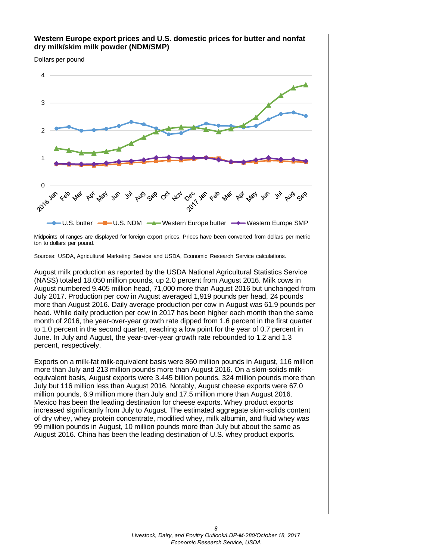

Midpoints of ranges are displayed for foreign export prices. Prices have been converted from dollars per metric ton to dollars per pound.

Sources: USDA, Agricultural Marketing Service and USDA, Economic Research Service calculations.

August milk production as reported by the USDA National Agricultural Statistics Service (NASS) totaled 18.050 million pounds, up 2.0 percent from August 2016. Milk cows in August numbered 9.405 million head, 71,000 more than August 2016 but unchanged from July 2017. Production per cow in August averaged 1,919 pounds per head, 24 pounds more than August 2016. Daily average production per cow in August was 61.9 pounds per head. While daily production per cow in 2017 has been higher each month than the same month of 2016, the year-over-year growth rate dipped from 1.6 percent in the first quarter to 1.0 percent in the second quarter, reaching a low point for the year of 0.7 percent in June. In July and August, the year-over-year growth rate rebounded to 1.2 and 1.3 percent, respectively.

Exports on a milk-fat milk-equivalent basis were 860 million pounds in August, 116 million more than July and 213 million pounds more than August 2016. On a skim-solids milkequivalent basis, August exports were 3.445 billion pounds, 324 million pounds more than July but 116 million less than August 2016. Notably, August cheese exports were 67.0 million pounds, 6.9 million more than July and 17.5 million more than August 2016. Mexico has been the leading destination for cheese exports. Whey product exports increased significantly from July to August. The estimated aggregate skim-solids content of dry whey, whey protein concentrate, modified whey, milk albumin, and fluid whey was 99 million pounds in August, 10 million pounds more than July but about the same as August 2016. China has been the leading destination of U.S. whey product exports.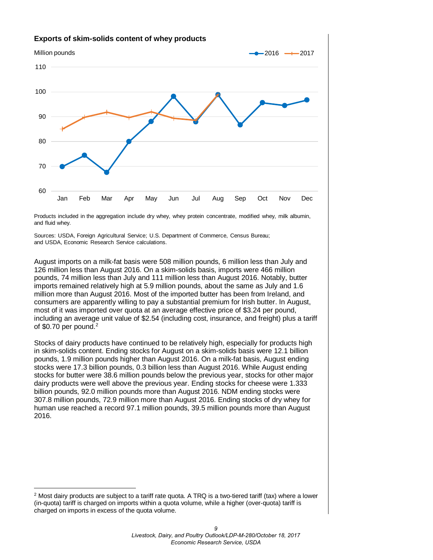

Products included in the aggregation include dry whey, whey protein concentrate, modified whey, milk albumin, and fluid whey.

Sources: USDA, Foreign Agricultural Service; U.S. Department of Commerce, Census Bureau; and USDA, Economic Research Service calculations.

August imports on a milk-fat basis were 508 million pounds, 6 million less than July and 126 million less than August 2016. On a skim-solids basis, imports were 466 million pounds, 74 million less than July and 111 million less than August 2016. Notably, butter imports remained relatively high at 5.9 million pounds, about the same as July and 1.6 million more than August 2016. Most of the imported butter has been from Ireland, and consumers are apparently willing to pay a substantial premium for Irish butter. In August, most of it was imported over quota at an average effective price of \$3.24 per pound, including an average unit value of \$2.54 (including cost, insurance, and freight) plus a tariff of \$0.70 per pound. $2$ 

Stocks of dairy products have continued to be relatively high, especially for products high in skim-solids content. Ending stocks for August on a skim-solids basis were 12.1 billion pounds, 1.9 million pounds higher than August 2016. On a milk-fat basis, August ending stocks were 17.3 billion pounds, 0.3 billion less than August 2016. While August ending stocks for butter were 38.6 million pounds below the previous year, stocks for other major dairy products were well above the previous year. Ending stocks for cheese were 1.333 billion pounds, 92.0 million pounds more than August 2016. NDM ending stocks were 307.8 million pounds, 72.9 million more than August 2016. Ending stocks of dry whey for human use reached a record 97.1 million pounds, 39.5 million pounds more than August 2016.

<u>.</u>

<span id="page-8-0"></span> $2$  Most dairy products are subject to a tariff rate quota. A TRQ is a two-tiered tariff (tax) where a lower (in-quota) tariff is charged on imports within a quota volume, while a higher (over-quota) tariff is charged on imports in excess of the quota volume.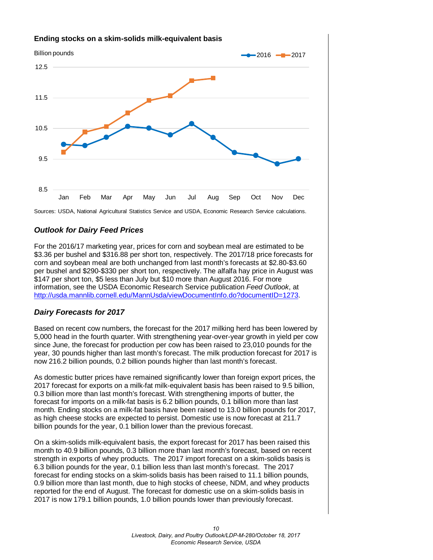

Sources: USDA, National Agricultural Statistics Service and USDA, Economic Research Service calculations.

# *Outlook for Dairy Feed Prices*

For the 2016/17 marketing year, prices for corn and soybean meal are estimated to be \$3.36 per bushel and \$316.88 per short ton, respectively. The 2017/18 price forecasts for corn and soybean meal are both unchanged from last month's forecasts at \$2.80-\$3.60 per bushel and \$290-\$330 per short ton, respectively. The alfalfa hay price in August was \$147 per short ton, \$5 less than July but \$10 more than August 2016. For more information, see the USDA Economic Research Service publication *Feed Outlook*, at [http://usda.mannlib.cornell.edu/MannUsda/viewDocumentInfo.do?documentID=1273.](http://usda.mannlib.cornell.edu/MannUsda/viewDocumentInfo.do?documentID=1273)

# *Dairy Forecasts for 2017*

Based on recent cow numbers, the forecast for the 2017 milking herd has been lowered by 5,000 head in the fourth quarter. With strengthening year-over-year growth in yield per cow since June, the forecast for production per cow has been raised to 23,010 pounds for the year, 30 pounds higher than last month's forecast. The milk production forecast for 2017 is now 216.2 billion pounds, 0.2 billion pounds higher than last month's forecast.

As domestic butter prices have remained significantly lower than foreign export prices, the 2017 forecast for exports on a milk-fat milk-equivalent basis has been raised to 9.5 billion, 0.3 billion more than last month's forecast. With strengthening imports of butter, the forecast for imports on a milk-fat basis is 6.2 billion pounds, 0.1 billion more than last month. Ending stocks on a milk-fat basis have been raised to 13.0 billion pounds for 2017, as high cheese stocks are expected to persist. Domestic use is now forecast at 211.7 billion pounds for the year, 0.1 billion lower than the previous forecast.

On a skim-solids milk-equivalent basis, the export forecast for 2017 has been raised this month to 40.9 billion pounds, 0.3 billion more than last month's forecast, based on recent strength in exports of whey products. The 2017 import forecast on a skim-solids basis is 6.3 billion pounds for the year, 0.1 billion less than last month's forecast. The 2017 forecast for ending stocks on a skim-solids basis has been raised to 11.1 billion pounds, 0.9 billion more than last month, due to high stocks of cheese, NDM, and whey products reported for the end of August. The forecast for domestic use on a skim-solids basis in 2017 is now 179.1 billion pounds, 1.0 billion pounds lower than previously forecast.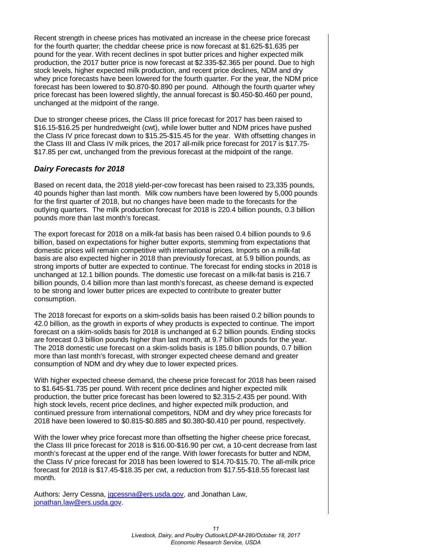Recent strength in cheese prices has motivated an increase in the cheese price forecast for the fourth quarter; the cheddar cheese price is now forecast at \$1.625-\$1.635 per pound for the year. With recent declines in spot butter prices and higher expected milk production, the 2017 butter price is now forecast at \$2.335-\$2.365 per pound. Due to high stock levels, higher expected milk production, and recent price declines, NDM and dry whey price forecasts have been lowered for the fourth quarter. For the year, the NDM price forecast has been lowered to \$0.870-\$0.890 per pound. Although the fourth quarter whey price forecast has been lowered slightly, the annual forecast is \$0.450-\$0.460 per pound, unchanged at the midpoint of the range.

Due to stronger cheese prices, the Class III price forecast for 2017 has been raised to \$16.15-\$16.25 per hundredweight (cwt), while lower butter and NDM prices have pushed the Class IV price forecast down to \$15.25-\$15.45 for the year. With offsetting changes in the Class III and Class IV milk prices, the 2017 all-milk price forecast for 2017 is \$17.75- \$17.85 per cwt, unchanged from the previous forecast at the midpoint of the range.

## *Dairy Forecasts for 2018*

Based on recent data, the 2018 yield-per-cow forecast has been raised to 23,335 pounds, 40 pounds higher than last month. Milk cow numbers have been lowered by 5,000 pounds for the first quarter of 2018, but no changes have been made to the forecasts for the outlying quarters. The milk production forecast for 2018 is 220.4 billion pounds, 0.3 billion pounds more than last month's forecast.

The export forecast for 2018 on a milk-fat basis has been raised 0.4 billion pounds to 9.6 billion, based on expectations for higher butter exports, stemming from expectations that domestic prices will remain competitive with international prices. Imports on a milk-fat basis are also expected higher in 2018 than previously forecast, at 5.9 billion pounds, as strong imports of butter are expected to continue. The forecast for ending stocks in 2018 is unchanged at 12.1 billion pounds. The domestic use forecast on a milk-fat basis is 216.7 billion pounds, 0.4 billion more than last month's forecast, as cheese demand is expected to be strong and lower butter prices are expected to contribute to greater butter consumption.

The 2018 forecast for exports on a skim-solids basis has been raised 0.2 billion pounds to 42.0 billion, as the growth in exports of whey products is expected to continue. The import forecast on a skim-solids basis for 2018 is unchanged at 6.2 billion pounds. Ending stocks are forecast 0.3 billion pounds higher than last month, at 9.7 billion pounds for the year. The 2018 domestic use forecast on a skim-solids basis is 185.0 billion pounds, 0.7 billion more than last month's forecast, with stronger expected cheese demand and greater consumption of NDM and dry whey due to lower expected prices.

With higher expected cheese demand, the cheese price forecast for 2018 has been raised to \$1.645-\$1.735 per pound. With recent price declines and higher expected milk production, the butter price forecast has been lowered to \$2.315-2.435 per pound. With high stock levels, recent price declines, and higher expected milk production, and continued pressure from international competitors, NDM and dry whey price forecasts for 2018 have been lowered to \$0.815-\$0.885 and \$0.380-\$0.410 per pound, respectively.

With the lower whey price forecast more than offsetting the higher cheese price forecast, the Class III price forecast for 2018 is \$16.00-\$16.90 per cwt, a 10-cent decrease from last month's forecast at the upper end of the range. With lower forecasts for butter and NDM, the Class IV price forecast for 2018 has been lowered to \$14.70-\$15.70. The all-milk price forecast for 2018 is \$17.45-\$18.35 per cwt, a reduction from \$17.55-\$18.55 forecast last month.

Authors: Jerry Cessna, [jgcessna@ers.usda.gov,](mailto:jgcessna@ers.usda.gov) and Jonathan Law, [jonathan.law@ers.usda.gov.](mailto:jonathan.law@ers.usda.gov)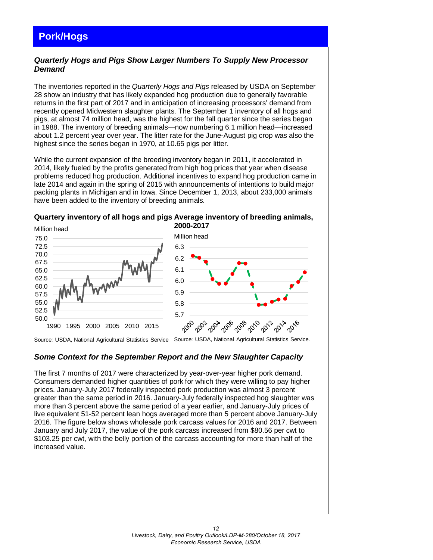# <span id="page-11-0"></span>**Pork/Hogs**

# *Quarterly Hogs and Pigs Show Larger Numbers To Supply New Processor Demand*

The inventories reported in the *Quarterly Hogs and Pigs* released by USDA on September 28 show an industry that has likely expanded hog production due to generally favorable returns in the first part of 2017 and in anticipation of increasing processors' demand from recently opened Midwestern slaughter plants. The September 1 inventory of all hogs and pigs, at almost 74 million head, was the highest for the fall quarter since the series began in 1988. The inventory of breeding animals—now numbering 6.1 million head—increased about 1.2 percent year over year. The litter rate for the June-August pig crop was also the highest since the series began in 1970, at 10.65 pigs per litter.

While the current expansion of the breeding inventory began in 2011, it accelerated in 2014, likely fueled by the profits generated from high hog prices that year when disease problems reduced hog production. Additional incentives to expand hog production came in late 2014 and again in the spring of 2015 with announcements of intentions to build major packing plants in Michigan and in Iowa. Since December 1, 2013, about 233,000 animals have been added to the inventory of breeding animals.





Source: USDA, National Agricultural Statistics Service Source: USDA, National Agricultural Statistics Service.

# *Some Context for the September Report and the New Slaughter Capacity*

The first 7 months of 2017 were characterized by year-over-year higher pork demand. Consumers demanded higher quantities of pork for which they were willing to pay higher prices. January-July 2017 federally inspected pork production was almost 3 percent greater than the same period in 2016. January-July federally inspected hog slaughter was more than 3 percent above the same period of a year earlier, and January-July prices of live equivalent 51-52 percent lean hogs averaged more than 5 percent above January-July 2016. The figure below shows wholesale pork carcass values for 2016 and 2017. Between January and July 2017, the value of the pork carcass increased from \$80.56 per cwt to \$103.25 per cwt, with the belly portion of the carcass accounting for more than half of the increased value.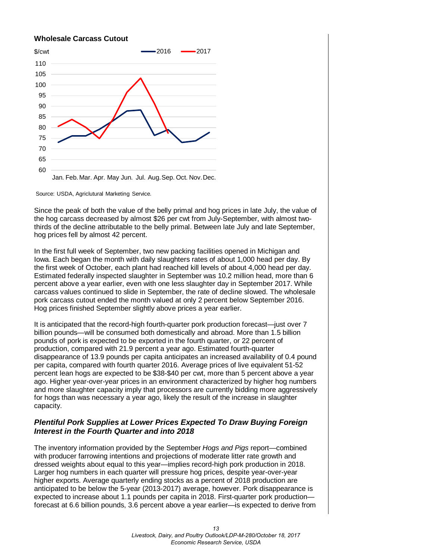#### **Wholesale Carcass Cutout**



Source: USDA, Agriclutural Marketing Service.

Since the peak of both the value of the belly primal and hog prices in late July, the value of the hog carcass decreased by almost \$26 per cwt from July-September, with almost twothirds of the decline attributable to the belly primal. Between late July and late September, hog prices fell by almost 42 percent.

In the first full week of September, two new packing facilities opened in Michigan and Iowa. Each began the month with daily slaughters rates of about 1,000 head per day. By the first week of October, each plant had reached kill levels of about 4,000 head per day. Estimated federally inspected slaughter in September was 10.2 million head, more than 6 percent above a year earlier, even with one less slaughter day in September 2017. While carcass values continued to slide in September, the rate of decline slowed. The wholesale pork carcass cutout ended the month valued at only 2 percent below September 2016. Hog prices finished September slightly above prices a year earlier.

It is anticipated that the record-high fourth-quarter pork production forecast—just over 7 billion pounds—will be consumed both domestically and abroad. More than 1.5 billion pounds of pork is expected to be exported in the fourth quarter, or 22 percent of production, compared with 21.9 percent a year ago. Estimated fourth-quarter disappearance of 13.9 pounds per capita anticipates an increased availability of 0.4 pound per capita, compared with fourth quarter 2016. Average prices of live equivalent 51-52 percent lean hogs are expected to be \$38-\$40 per cwt, more than 5 percent above a year ago. Higher year-over-year prices in an environment characterized by higher hog numbers and more slaughter capacity imply that processors are currently bidding more aggressively for hogs than was necessary a year ago, likely the result of the increase in slaughter capacity.

# *Plentiful Pork Supplies at Lower Prices Expected To Draw Buying Foreign Interest in the Fourth Quarter and into 2018*

The inventory information provided by the September *Hogs and Pigs* report—combined with producer farrowing intentions and projections of moderate litter rate growth and dressed weights about equal to this year—implies record-high pork production in 2018. Larger hog numbers in each quarter will pressure hog prices, despite year-over-year higher exports. Average quarterly ending stocks as a percent of 2018 production are anticipated to be below the 5-year (2013-2017) average, however. Pork disappearance is expected to increase about 1.1 pounds per capita in 2018. First-quarter pork production forecast at 6.6 billion pounds, 3.6 percent above a year earlier—is expected to derive from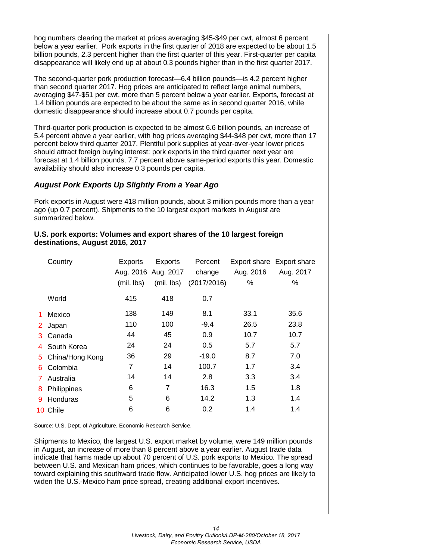hog numbers clearing the market at prices averaging \$45-\$49 per cwt, almost 6 percent below a year earlier. Pork exports in the first quarter of 2018 are expected to be about 1.5 billion pounds, 2.3 percent higher than the first quarter of this year. First-quarter per capita disappearance will likely end up at about 0.3 pounds higher than in the first quarter 2017.

The second-quarter pork production forecast—6.4 billion pounds—is 4.2 percent higher than second quarter 2017. Hog prices are anticipated to reflect large animal numbers, averaging \$47-\$51 per cwt, more than 5 percent below a year earlier. Exports, forecast at 1.4 billion pounds are expected to be about the same as in second quarter 2016, while domestic disappearance should increase about 0.7 pounds per capita.

Third-quarter pork production is expected to be almost 6.6 billion pounds, an increase of 5.4 percent above a year earlier, with hog prices averaging \$44-\$48 per cwt, more than 17 percent below third quarter 2017. Plentiful pork supplies at year-over-year lower prices should attract foreign buying interest: pork exports in the third quarter next year are forecast at 1.4 billion pounds, 7.7 percent above same-period exports this year. Domestic availability should also increase 0.3 pounds per capita.

## *August Pork Exports Up Slightly From a Year Ago*

Pork exports in August were 418 million pounds, about 3 million pounds more than a year ago (up 0.7 percent). Shipments to the 10 largest export markets in August are summarized below.

#### **U.S. pork exports: Volumes and export shares of the 10 largest foreign destinations, August 2016, 2017**

|                | Country           | <b>Exports</b> | Exports             | Percent     |           | Export share Export share |
|----------------|-------------------|----------------|---------------------|-------------|-----------|---------------------------|
|                |                   |                | Aug. 2016 Aug. 2017 | change      | Aug. 2016 | Aug. 2017                 |
|                |                   | (mil. lbs)     | (mil. lbs)          | (2017/2016) | %         | %                         |
|                | World             | 415            | 418                 | 0.7         |           |                           |
| 1              | Mexico            | 138            | 149                 | 8.1         | 33.1      | 35.6                      |
| 2 <sup>1</sup> | Japan             | 110            | 100                 | $-9.4$      | 26.5      | 23.8                      |
| 3.             | Canada            | 44             | 45                  | 0.9         | 10.7      | 10.7                      |
| 4              | South Korea       | 24             | 24                  | 0.5         | 5.7       | 5.7                       |
|                | 5 China/Hong Kong | 36             | 29                  | $-19.0$     | 8.7       | 7.0                       |
| 6.             | Colombia          | 7              | 14                  | 100.7       | 1.7       | 3.4                       |
| $7^{\circ}$    | Australia         | 14             | 14                  | 2.8         | 3.3       | 3.4                       |
| 8              | Philippines       | 6              | $\overline{7}$      | 16.3        | 1.5       | 1.8                       |
| 9              | Honduras          | 5              | 6                   | 14.2        | 1.3       | 1.4                       |
|                | 10 Chile          | 6              | 6                   | 0.2         | 1.4       | 1.4                       |

Source: U.S. Dept. of Agriculture, Economic Research Service.

Shipments to Mexico, the largest U.S. export market by volume, were 149 million pounds in August, an increase of more than 8 percent above a year earlier. August trade data indicate that hams made up about 70 percent of U.S. pork exports to Mexico. The spread between U.S. and Mexican ham prices, which continues to be favorable, goes a long way toward explaining this southward trade flow. Anticipated lower U.S. hog prices are likely to widen the U.S.-Mexico ham price spread, creating additional export incentives.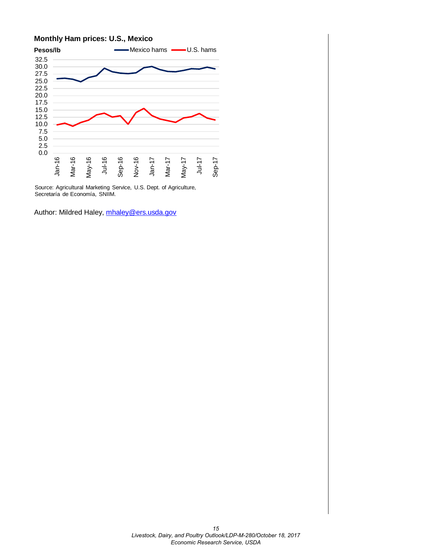#### **Monthly Ham prices: U.S., Mexico**



Source: Agricultural Marketing Service, U.S. Dept. of Agriculture, Secretaría de Economía, SNIIM.

Author: Mildred Haley, [mhaley@ers.usda.gov](mailto:mhaley@ers.usda.gov)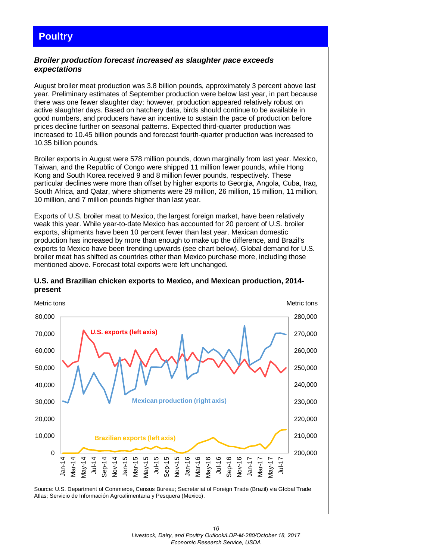# <span id="page-15-0"></span>**Poultry**

## *Broiler production forecast increased as slaughter pace exceeds expectations*

August broiler meat production was 3.8 billion pounds, approximately 3 percent above last year. Preliminary estimates of September production were below last year, in part because there was one fewer slaughter day; however, production appeared relatively robust on active slaughter days. Based on hatchery data, birds should continue to be available in good numbers, and producers have an incentive to sustain the pace of production before prices decline further on seasonal patterns. Expected third-quarter production was increased to 10.45 billion pounds and forecast fourth-quarter production was increased to 10.35 billion pounds.

Broiler exports in August were 578 million pounds, down marginally from last year. Mexico, Taiwan, and the Republic of Congo were shipped 11 million fewer pounds, while Hong Kong and South Korea received 9 and 8 million fewer pounds, respectively. These particular declines were more than offset by higher exports to Georgia, Angola, Cuba, Iraq, South Africa, and Qatar, where shipments were 29 million, 26 million, 15 million, 11 million, 10 million, and 7 million pounds higher than last year.

Exports of U.S. broiler meat to Mexico, the largest foreign market, have been relatively weak this year. While year-to-date Mexico has accounted for 20 percent of U.S. broiler exports, shipments have been 10 percent fewer than last year. Mexican domestic production has increased by more than enough to make up the difference, and Brazil's exports to Mexico have been trending upwards (see chart below). Global demand for U.S. broiler meat has shifted as countries other than Mexico purchase more, including those mentioned above. Forecast total exports were left unchanged.



#### **U.S. and Brazilian chicken exports to Mexico, and Mexican production, 2014 present**

Source: U.S. Department of Commerce, Census Bureau; Secretariat of Foreign Trade (Brazil) via Global Trade Atlas; Servicio de Información Agroalimentaria y Pesquera (Mexico).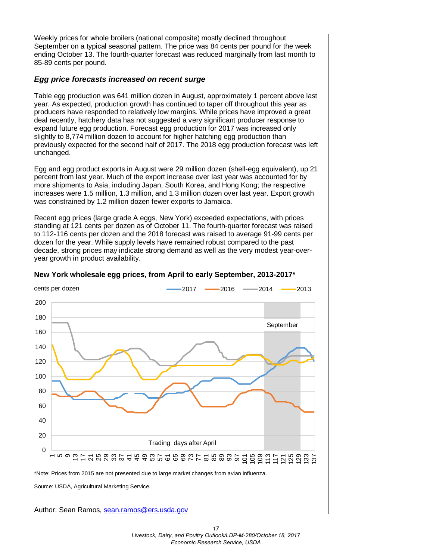Weekly prices for whole broilers (national composite) mostly declined throughout September on a typical seasonal pattern. The price was 84 cents per pound for the week ending October 13. The fourth-quarter forecast was reduced marginally from last month to 85-89 cents per pound.

## *Egg price forecasts increased on recent surge*

Table egg production was 641 million dozen in August, approximately 1 percent above last year. As expected, production growth has continued to taper off throughout this year as producers have responded to relatively low margins. While prices have improved a great deal recently, hatchery data has not suggested a very significant producer response to expand future egg production. Forecast egg production for 2017 was increased only slightly to 8,774 million dozen to account for higher hatching egg production than previously expected for the second half of 2017. The 2018 egg production forecast was left unchanged.

Egg and egg product exports in August were 29 million dozen (shell-egg equivalent), up 21 percent from last year. Much of the export increase over last year was accounted for by more shipments to Asia, including Japan, South Korea, and Hong Kong; the respective increases were 1.5 million, 1.3 million, and 1.3 million dozen over last year. Export growth was constrained by 1.2 million dozen fewer exports to Jamaica.

Recent egg prices (large grade A eggs, New York) exceeded expectations, with prices standing at 121 cents per dozen as of October 11. The fourth-quarter forecast was raised to 112-116 cents per dozen and the 2018 forecast was raised to average 91-99 cents per dozen for the year. While supply levels have remained robust compared to the past decade, strong prices may indicate strong demand as well as the very modest year-overyear growth in product availability.



#### **New York wholesale egg prices, from April to early September, 2013-2017\***

Source: USDA, Agricultural Marketing Service.

Author: Sean Ramos, sean.ramos@ers.usda.gov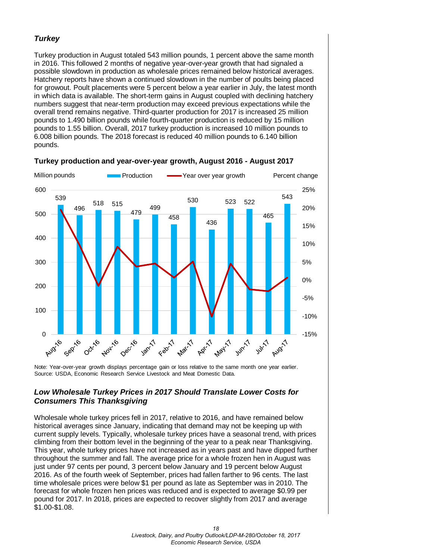# *Turkey*

Turkey production in August totaled 543 million pounds, 1 percent above the same month in 2016. This followed 2 months of negative year-over-year growth that had signaled a possible slowdown in production as wholesale prices remained below historical averages. Hatchery reports have shown a continued slowdown in the number of poults being placed for growout. Poult placements were 5 percent below a year earlier in July, the latest month in which data is available. The short-term gains in August coupled with declining hatchery numbers suggest that near-term production may exceed previous expectations while the overall trend remains negative. Third-quarter production for 2017 is increased 25 million pounds to 1.490 billion pounds while fourth-quarter production is reduced by 15 million pounds to 1.55 billion. Overall, 2017 turkey production is increased 10 million pounds to 6.008 billion pounds. The 2018 forecast is reduced 40 million pounds to 6.140 billion pounds.



**Turkey production and year-over-year growth, August 2016 - August 2017**

Note: Year-over-year growth displays percentage gain or loss relative to the same month one year earlier. Source: USDA, Economic Research Service Livestock and Meat Domestic Data.

# *Low Wholesale Turkey Prices in 2017 Should Translate Lower Costs for Consumers This Thanksgiving*

Wholesale whole turkey prices fell in 2017, relative to 2016, and have remained below historical averages since January, indicating that demand may not be keeping up with current supply levels. Typically, wholesale turkey prices have a seasonal trend, with prices climbing from their bottom level in the beginning of the year to a peak near Thanksgiving. This year, whole turkey prices have not increased as in years past and have dipped further throughout the summer and fall. The average price for a whole frozen hen in August was just under 97 cents per pound, 3 percent below January and 19 percent below August 2016. As of the fourth week of September, prices had fallen farther to 96 cents. The last time wholesale prices were below \$1 per pound as late as September was in 2010. The forecast for whole frozen hen prices was reduced and is expected to average \$0.99 per pound for 2017. In 2018, prices are expected to recover slightly from 2017 and average \$1.00-\$1.08.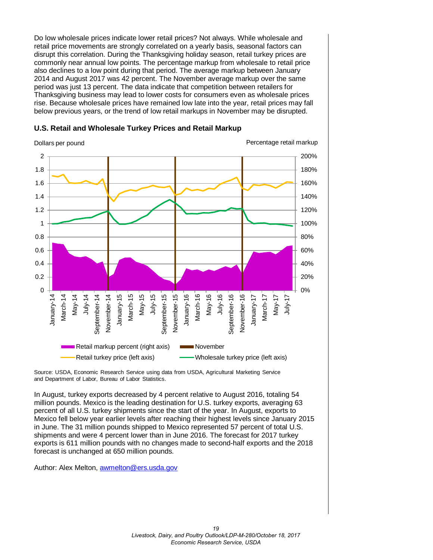Do low wholesale prices indicate lower retail prices? Not always. While wholesale and retail price movements are strongly correlated on a yearly basis, seasonal factors can disrupt this correlation. During the Thanksgiving holiday season, retail turkey prices are commonly near annual low points. The percentage markup from wholesale to retail price also declines to a low point during that period. The average markup between January 2014 and August 2017 was 42 percent. The November average markup over the same period was just 13 percent. The data indicate that competition between retailers for Thanksgiving business may lead to lower costs for consumers even as wholesale prices rise. Because wholesale prices have remained low late into the year, retail prices may fall below previous years, or the trend of low retail markups in November may be disrupted.



#### **U.S. Retail and Wholesale Turkey Prices and Retail Markup**

Source: USDA, Economic Research Service using data from USDA, Agricultural Marketing Service and Department of Labor, Bureau of Labor Statistics.

In August, turkey exports decreased by 4 percent relative to August 2016, totaling 54 million pounds. Mexico is the leading destination for U.S. turkey exports, averaging 63 percent of all U.S. turkey shipments since the start of the year. In August, exports to Mexico fell below year earlier levels after reaching their highest levels since January 2015 in June. The 31 million pounds shipped to Mexico represented 57 percent of total U.S. shipments and were 4 percent lower than in June 2016. The forecast for 2017 turkey exports is 611 million pounds with no changes made to second-half exports and the 2018 forecast is unchanged at 650 million pounds.

Author: Alex Melton, [awmelton@ers.usda.gov](mailto:sean.ramos@ers.usda.gov)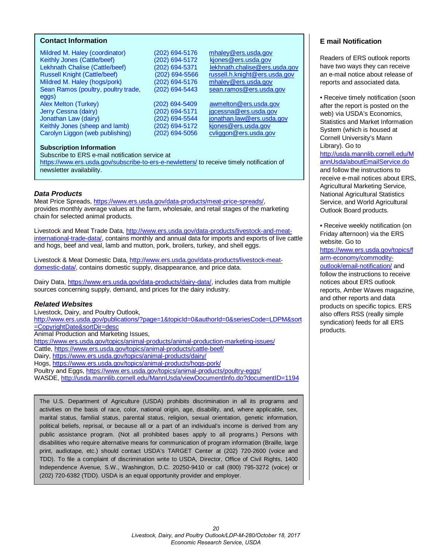#### <span id="page-19-0"></span>**Contact Information**

Mildred M. Haley (coordinator) (202) 694-5176 [mhaley@ers.usda.gov](mailto:mhaley@ers.usda.gov)<br>Keithly Jones (Cattle/beef) (202) 694-5172 kiones@ers.usda.gov Keithly Jones (Cattle/beef) (202) 694-5172 kjones@ers.usda.gov<br>Lekhnath Chalise (Cattle/beef) (202) 694-5371 lekhnath.chalise@ers.usda.gov Lekhnath Chalise (Cattle/beef) (202) 694-5371<br>Russell Knight (Cattle/beef) (202) 694-5566 Mildred M. Haley (hogs/pork) (202) 694-5176 [mhaley@ers.usda.gov](mailto:mhaley@ers.usda.gov)<br>Sean Ramos (poultry, poultry trade, (202) 694-5443 sean.ramos@ers.usda.gov Sean Ramos (poultry, poultry trade, eggs)<br>Alex Melton (Turkey) Jerry Cessna (dairy) (202) 694-5171 [jgcessna@ers.usda.gov](mailto:jgcessna@ers.usda.gov) Jonathan Law (dairy) (202) 694-5544 <u>jonathan.law@ers.usda.gov</u><br>Keithly Jones (sheep and lamb) (202) 694-5172 kjones@ers.usda.gov Keithly Jones (sheep and lamb) (202) 694-5172 [kjones@ers.usda.gov](mailto:kjones@ers.usda.gov)<br>Carolyn Liggon (web publishing) (202) 694-5056 cyliggon@ers.usda.gov Carolyn Liggon (web publishing)

russell.h.knight@ers.usda.gov

 $(202)$  694-5409 [awmelton@ers.usda.gov](mailto:awmelton@ers.usda.gov)

#### **Subscription Information**

Subscribe to ERS e-mail notification service at <https://www.ers.usda.gov/subscribe-to-ers-e-newletters/> to receive timely notification of newsletter availability.

#### *Data Products*

Meat Price Spreads, [https://www.ers.usda.gov/data-products/meat-price-spreads/,](https://www.ers.usda.gov/data-products/meat-price-spreads/) provides monthly average values at the farm, wholesale, and retail stages of the marketing chain for selected animal products.

Livestock and Meat Trade Data, [http://www.ers.usda.gov/data-products/livestock-and-meat](http://www.ers.usda.gov/data-products/livestock-and-meat-international-trade-data/)[international-trade-data/,](http://www.ers.usda.gov/data-products/livestock-and-meat-international-trade-data/) contains monthly and annual data for imports and exports of live cattle and hogs, beef and veal, lamb and mutton, pork, broilers, turkey, and shell eggs.

Livestock & Meat Domestic Data, http://www.ers.usda.gov/data-products/livestock-meatdomestic-data/, contains domestic supply, disappearance, and price data.

Dairy Data, [https://www.ers.usda.gov/data-products/dairy-data/,](https://www.ers.usda.gov/data-products/dairy-data/) includes data from multiple sources concerning supply, demand, and prices for the dairy industry.

#### *Related Websites*

Livestock, Dairy, and Poultry Outlook, [http://www.ers.usda.gov/publications/?page=1&topicId=0&authorId=0&seriesCode=LDPM&sort](http://www.ers.usda.gov/publications/?page=1&topicId=0&authorId=0&seriesCode=LDPM&sort=CopyrightDate&sortDir=desc) [=CopyrightDate&sortDir=desc](http://www.ers.usda.gov/publications/?page=1&topicId=0&authorId=0&seriesCode=LDPM&sort=CopyrightDate&sortDir=desc)  Animal Production and Marketing Issues, <https://www.ers.usda.gov/topics/animal-products/animal-production-marketing-issues/> Cattle,<https://www.ers.usda.gov/topics/animal-products/cattle-beef/> Dairy,<https://www.ers.usda.gov/topics/animal-products/dairy/> Hogs,<https://www.ers.usda.gov/topics/animal-products/hogs-pork/>

Poultry and Eggs,<https://www.ers.usda.gov/topics/animal-products/poultry-eggs/>

WASDE,<http://usda.mannlib.cornell.edu/MannUsda/viewDocumentInfo.do?documentID=1194>

The U.S. Department of Agriculture (USDA) prohibits discrimination in all its programs and activities on the basis of race, color, national origin, age, disability, and, where applicable, sex, marital status, familial status, parental status, religion, sexual orientation, genetic information, political beliefs, reprisal, or because all or a part of an individual's income is derived from any public assistance program. (Not all prohibited bases apply to all programs.) Persons with disabilities who require alternative means for communication of program information (Braille, large print, audiotape, etc.) should contact USDA's TARGET Center at (202) 720-2600 (voice and TDD). To file a complaint of discrimination write to USDA, Director, Office of Civil Rights, 1400 Independence Avenue, S.W., Washington, D.C. 20250-9410 or call (800) 795-3272 (voice) or (202) 720-6382 (TDD). USDA is an equal opportunity provider and employer.

## **E mail Notification**

Readers of ERS outlook reports have two ways they can receive an e-mail notice about release of reports and associated data.

• Receive timely notification (soon after the report is posted on the web) via USDA's Economics, Statistics and Market Information System (which is housed at Cornell University's Mann Library). Go to

[http://usda.mannlib.cornell.edu/M](http://usda.mannlib.cornell.edu/MannUsda/aboutEmailService.do) [annUsda/aboutEmailService.do](http://usda.mannlib.cornell.edu/MannUsda/aboutEmailService.do) and follow the instructions to receive e-mail notices about ERS, Agricultural Marketing Service, National Agricultural Statistics Service, and World Agricultural Outlook Board products.

• Receive weekly notification (on Friday afternoon) via the ERS website. Go to

[https://www.ers.usda.gov/topics/f](https://www.ers.usda.gov/topics/farm-economy/commodity-outlook/email-notification/) [arm-economy/commodity](https://www.ers.usda.gov/topics/farm-economy/commodity-outlook/email-notification/)[outlook/email-notification/](https://www.ers.usda.gov/topics/farm-economy/commodity-outlook/email-notification/) and follow the instructions to receive notices about ERS outlook reports, Amber Waves magazine, and other reports and data products on specific topics. ERS also offers RSS (really simple syndication) feeds for all ERS products.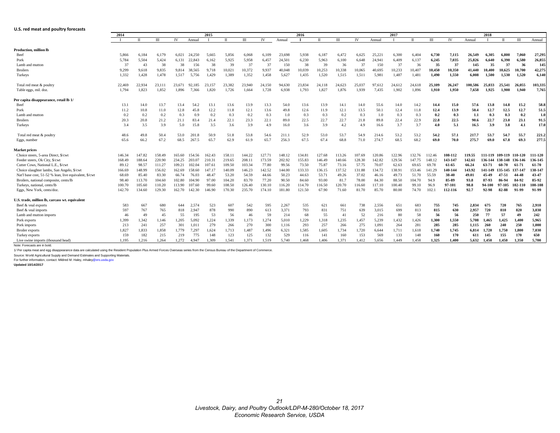<span id="page-20-0"></span>

| U.S. red meat and poultry forecasts                    |                |        |        |           |        |             |        |        |        |        |        |              |        |           |        |        |              |               |         |         |         |                         |              |              |
|--------------------------------------------------------|----------------|--------|--------|-----------|--------|-------------|--------|--------|--------|--------|--------|--------------|--------|-----------|--------|--------|--------------|---------------|---------|---------|---------|-------------------------|--------------|--------------|
|                                                        | 2014           |        |        |           |        | 2015        |        |        |        |        | 2016   |              |        |           |        | 2017   |              |               |         |         | 2018    |                         |              |              |
|                                                        | $\blacksquare$ | П      | $\Pi$  | <b>IV</b> | Annual |             | $\Pi$  | III    | IV     | Annual | - 1    | $\mathbf{H}$ | IΠ     | <b>IV</b> | Annual | л      | $\mathbf{H}$ | III           | IV      | Annual  |         | $\Pi$                   | ΠI           | Annual       |
|                                                        |                |        |        |           |        |             |        |        |        |        |        |              |        |           |        |        |              |               |         |         |         |                         |              |              |
| Production, million lb<br>Beef                         | 5,866          | 6,184  | 6,179  | 6,021     | 24.250 | 5.665       | 5,856  | 6,068  | 6,109  | 23,698 | 5,938  | 6,187        | 6,472  | 6,625     | 25,221 | 6,300  | 6,404        | 6,730         | 7,115   | 26.549  | 6.305   | 6.800                   | 7.060        | 27,295       |
| Pork                                                   | 5,784          | 5,504  | 5,424  | 6,131     | 22,843 | 6,162       | 5,925  | 5,958  | 6,457  | 24,501 | 6,230  | 5,963        | 6,100  | 6,648     | 24,941 | 6,409  | 6,137        | 6,245         | 7,035   | 25,826  | 6,640   | 6,390                   | 6,580        | 26,855       |
| Lamb and mutton                                        | 37             | 43     | 38     | 38        | 156    | 38          | 39     | 37     | 37     | 150    | 38     | 39           | 36     | 37        | 150    | 37     | 36           | 35            | 37      | 145     | 35      | 37                      | 36           | 145          |
| <b>Broilers</b>                                        | 9,299          | 9,618  | 9,835  | 9,814     | 38.565 | 9,718       | 10,021 | 10,372 | 9,937  | 40,048 | 10,039 | 10,253       | 10,338 | 10,065    | 40,695 | 10,233 | 10,407       | 10,450        | 10,350  | 41.440  | 10,400  | 10.625                  | 10.700       | 42,275       |
| Turkeys                                                | 1,332          | 1,428  | 1,478  | 1,517     | 5,756  | 1,429       | 1,389  | 1,352  | 1,458  | 5,627  | 1,435  | 1,520        | 1,515  | 1,511     | 5,981  | 1,487  | 1,481        | 1,490         | 1,550   | 6.008   | 1.500   | 1.530                   | 1.520        | 6.140        |
|                                                        |                |        |        |           |        |             |        |        |        |        |        |              |        |           |        |        |              |               |         |         |         |                         |              |              |
| Total red meat & poultry                               | 22,469         | 22,934 | 23.111 | 23.671    | 92.185 | 23.157      | 23,382 | 23,940 | 24,150 | 94,630 | 23,834 | 24.118       | 24,623 | 25.037    | 97,612 | 24.612 | 24,618       | <b>25.109</b> | 26,247  | 100.586 | 25,033  | 25.541                  | 26,055       | 103.335      |
| Table eggs, mil. doz.                                  | 1.794          | 1,823  | 1,852  | 1.896     | 7.366  | 1,820       | 1,726  | 1,664  | 1,728  | 6,938  | 1,793  | 1,827        | 1,876  | 1,939     | 7,435  | 1.902  | 1.896        | 1,910         | 1,950   | 7,658   | 1.925   | 1.900                   | 1,940        | 7,765        |
| Per capita disappearance, retail lb 1/                 |                |        |        |           |        |             |        |        |        |        |        |              |        |           |        |        |              |               |         |         |         |                         |              |              |
| Beef                                                   | 13.1           | 14.0   | 13.7   | 13.4      | 54.2   | 13.1        | 13.6   | 13.9   | 13.3   | 54.0   | 13.6   | 13.9         | 14.1   | 14.0      | 55.6   | 14.0   | 14.2         | 14.4          | 15.0    | 57.6    | 13.8    | 14.8                    | 15.2         | 58.8         |
| Pork                                                   | 11.2           | 10.8   | 11.0   | 12.8      | 45.8   | 12.2        | 11.8   | 12.1   | 13.6   | 49.8   | 12.6   | 11.9         | 12.1   | 13.5      | 50.1   | 12.4   | 11.8         | 12.4          | 13.9    | 50.4    | 12.7    | 12.5                    | 12.7         | 51.5         |
| Lamb and mutton                                        | 0.2            | 0.2    | 0.2    | 0.3       | 0.9    | 0.2         | 0.3    | 0.2    | 0.3    | 1.0    | 0.3    | 0.3          | 0.2    | 0.3       | 1.0    | 0.3    | 0.3          | 0.2           | 0.3     | 1.1     | 0.3     | 0.3                     | 0.2          | 1.0          |
| <b>Broilers</b>                                        | 20.3           | 20.8   | 21.2   | 21.1      | 83.4   | 21.4        | 22.1   | 23.3   | 22.1   | 89.0   | 22.5   | 22.7         | 22.7   | 21.8      | 89.8   | 22.4   | 22.9         | 22.8          | 22.5    | 90.6    | 22.7    | 23.0                    | 23.1         | 91.5         |
| Turkeys                                                | 3.4            | 3.5    | 3.9    | 5.0       | 15.8   | 3.5         | 3.6    | 3.9    | 4.9    | 16.0   | 3.6    | 3.9          | 4.2    | 4.9       | 16.6   | 3.7    | 3.7          | 4.0           | 5.1     | 16.5    | 3.9     | 3.8                     | 4.1          | 17.0         |
| Total red meat & poultry                               | 48.6           | 49.8   | 50.4   | 53.0      | 201.8  | 50.9        | 51.8   | 53.8   | 54.6   | 211.1  | 52.9   | 53.0         | 53.7   | 54.9      | 214.6  | 53.2   | 53.2         | 54.2          | 57.1    | 217.7   | 53.7    | 54.7                    | 55.7         | 221.2        |
| Eggs, number                                           | 65.6           | 66.2   | 67.2   | 68.5      | 267.5  | 65.7        | 62.9   | 61.9   | 65.7   | 256.3  | 67.5   | 67.4         | 68.8   | 71.0      | 274.7  | 68.5   | 68.2         | 69.0          | 70.0    | 275.7   | 69.0    | 67.8                    | 69.3         | 277.5        |
| <b>Market prices</b>                                   |                |        |        |           |        |             |        |        |        |        |        |              |        |           |        |        |              |               |         |         |         |                         |              |              |
| Choice steers, 5-area Direct, \$/cwt                   | 146.34         | 147.82 | 158.49 | 165.60    | 154.56 | 162.43      | 158.11 | 144.22 | 127.71 | 148.12 | 134.81 | 127.68       | 113.26 | 107.69    | 120.86 | 122.96 | 132.76       | 112.46        | 108-112 | 119.55  |         | 111-119 109-119 110-120 |              | 111-120      |
| Feeder steers, Ok City, \$/cwt                         | 168.49         | 188.64 | 220.90 | 234.25    | 203.07 | 210.31      | 219.65 | 208.11 | 173.59 | 202.92 | 155.83 | 146.49       | 140.66 | 128.30    | 142.82 | 129.56 | 147.75       | 148.12        | 143-147 | 142.61  |         | 136-144 138-148 136-146 |              | 136-145      |
| Cutter Cows, National L.E., \$/cwt                     | 89.12          | 98.57  | 111.27 | 109.21    | 102.04 | 107.61      | 109.50 | 103.34 | 77.80  | 99.56  | 73.50  | 75.87        | 73.16  | 57.75     | 70.07  | 62.63  | 69.65        | 69.78         | 61-65   | 66.24   | 63-71   | 60-70                   | $61-7$       | 61-70        |
| Choice slaughter lambs, San Angelo, \$/cwt             | 166.69         | 148.99 | 156.02 | 162.69    | 158.60 | 147.17      | 140.09 | 146.23 | 142.52 | 144.00 | 133.33 | 136.15       | 137.52 | 131.88    | 134.72 | 138.91 | 153.46       | 141.29        | 140-144 | 143.92  | 141-149 | 135-145 137-14          |              | 138-147      |
| Nat'l base cost, 51-52 % lean, live equivalent, \$/cwt | 68.69          | 85.40  | 83.30  | 66.74     | 76.03  | 48.47       | 53.20  | 54.59  | 44.66  | 50.23  | 44.63  | 53.71        | 49.26  | 37.02     | 46.16  | 49.73  | 51.70        | 55.59         | 38-40   | 49.01   | 45-49   | 47-51                   | 44-48        | 43-47        |
| Broilers, national composite, cents/lb                 | 98.40          | 113.70 | 104.60 | 102.80    | 104.90 | 97.00       | 104.20 | 83.70  | 77.20  | 90.50  | 84.60  | 93.00        | 81.7   | 78.00     | 84.30  | 88.50  | 104.70       | 94.9          | 85-89   | 93.8    | 87-93   | 86-94                   | 84-92        | 85-92        |
| Turkeys, national, cents/lb                            | 100.70         | 105.60 | 110.20 | 113.90    | 107.60 | 99.60       | 108.50 | 126.40 | 130.10 | 116.20 | 114.70 | 116.50       | 120.70 | 116.60    | 117.10 | 100.40 | 99.10        | 96.9          | 97-101  | 98.8    | 94-100  | 97-105                  | 102-11       | 100-108      |
| Eggs, New York, cents/doz.                             | 142.70         | 134.60 | 129.30 | 162.70    | 142.30 | 146.90      | 170.30 | 235.70 | 174.10 | 181.80 | 121.50 | 67.90        | 71.60  | 81.70     | 85.70  | 80.00  | 74.70        | 102.          | 112-116 | 92.7    | 92-98   | 82-88                   | 91-99        | 91-99        |
|                                                        |                |        |        |           |        |             |        |        |        |        |        |              |        |           |        |        |              |               |         |         |         |                         |              |              |
| U.S. trade, million lb, carcass wt. equivalent         |                |        |        |           |        |             |        |        |        |        |        |              |        |           |        |        |              |               |         |         |         |                         |              |              |
| Beef & veal exports                                    | 583            | 667    | 680    | 644       | 2.574  | 523         | 607    | 542    | 595    | 2,267  | 535    | 621          | 661    | 738       | 2,556  | 651    | 683          | 755           | 745     | 2,834   | 675     | 720                     | 765          | 2,910        |
| Beef & veal imports                                    | 597            | 767    | 765    | 818       | 2.947  | 878         | 990    | 890    | 613    | 3,371  | 793    | 831          | 751    | 639       | 3,015  | 699    | 813          | 815           | 630     | 2,957   | 720     | 810                     | 820          | 3,030        |
| Lamb and mutton imports                                | 46             | 49     | 45     | 55        | 195    | 53          | 56     | 46     | 59     | 214    | 68     | 55           | 41     | 52        | 216    | 80     | 58           | 56            | 56      | 250     | 77      | 57                      | 49           | 242          |
| Pork exports                                           | 1,399          | 1,342  | 1,146  | 1,205     | 5.092  | 1,224       | 1,339  | 1,173  | 1,274  | 5,010  | 1,229  | 1,318        | 1,235  | 1,457     | 5,239  | 1,432  | 1,426        | 1,300         | 1,550   | 5,708   | 1,465   | 1,425                   | 1.400        | 5,965        |
| Pork imports                                           | 213            | 241    | 257    | 301       | 1.011  | 279         | 266    | 270    | 300    | 1,116  | 293    | 257          | 266    | 275       | 1,091  | 264    | 281          | 285           | 285     | 1.115   | 260     | 240                     | 250          | 1,000        |
| <b>Broiler</b> exports                                 | 1.827          | 1,833  | 1.858  | 1,779     | 7,297  | 1.624       | 1,713  | 1.487  | 1,496  | 6,321  | 1.585  | 1,605        | 1,734  | 1,720     | 6,644  | 1,711  | 1.618        | 1,740         | 1,745   | 6.814   | 1,720   | 1,750                   | 1.800        | 7,030        |
| Turkey exports                                         | 159            | 182    | 215    | 219       | 775    | 148<br>.309 | 123    | 125    | 132    | 529    | 116    | 141          | 160    | 153       | 569    | 133    | 148          | 160           | 170     | 611     | 145     | 155                     | 170<br>1.350 | 650<br>5.700 |
| Live swine imports (thousand head)                     | 1.195          | 1,216  | 1,264  | 1,272     | 4.947  |             | 1.541  | 1.371  | 1.519  | 5.740  | 1.468  | 1.406        | 1.371  | 1.412     | 5.656  | 1.449  | 1.458        | 1.325         | 1.400   | 5.632   | 1.450   | 1.450                   |              |              |

Note: Forecasts are in bold.

1/ Per capita meat and egg disappearance data are calculated using the Resident Population Plus Armed Forces Overseas series from the Census Bureau of the Department of Commerce.

Source: World Agricultural Supply and Demand Estimates and Supporting Materials.<br>For further information, contact: Mildred M. Haley, mhaley@ers.usda.gov

**Updated 10/14/2017**